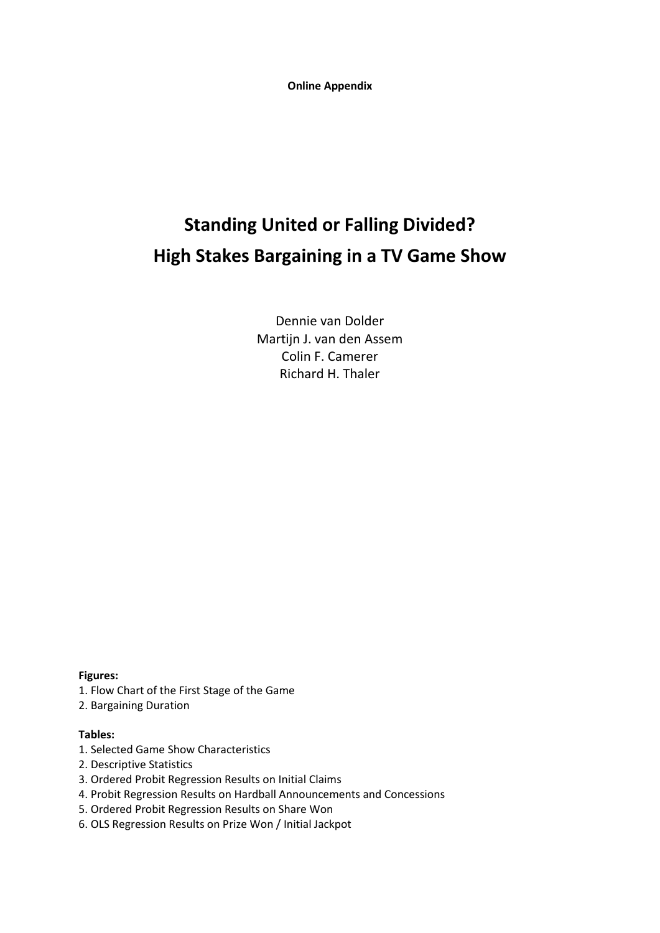**Online Appendix**

# **Standing United or Falling Divided? High Stakes Bargaining in a TV Game Show**

Dennie van Dolder Martijn J. van den Assem Colin F. Camerer Richard H. Thaler

**Figures:**

- 1. Flow Chart of the First Stage of the Game
- 2. Bargaining Duration

## **Tables:**

- 1. Selected Game Show Characteristics
- 2. Descriptive Statistics
- 3. Ordered Probit Regression Results on Initial Claims
- 4. Probit Regression Results on Hardball Announcements and Concessions
- 5. Ordered Probit Regression Results on Share Won
- 6. OLS Regression Results on Prize Won / Initial Jackpot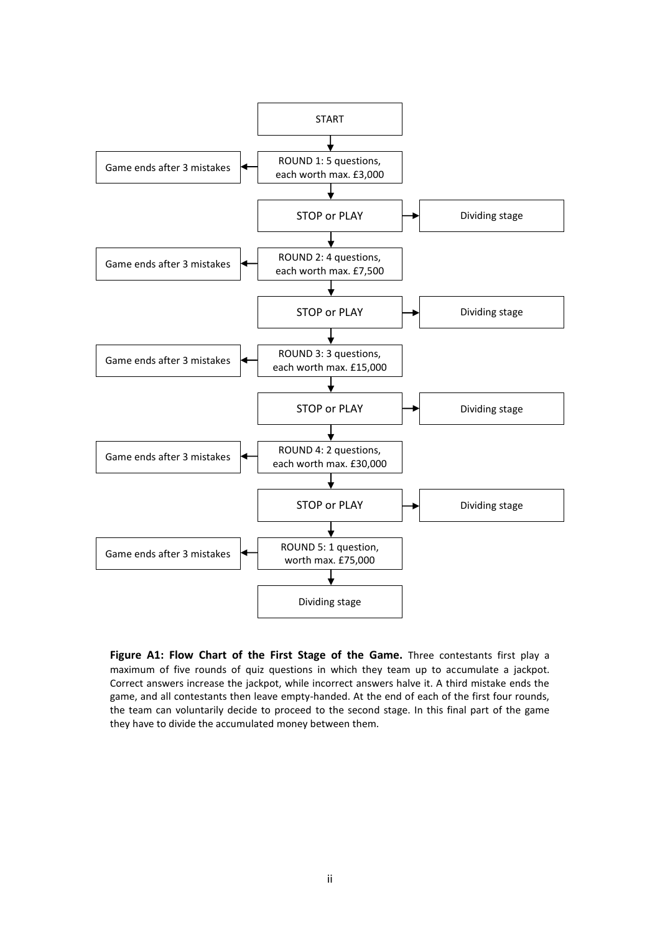

**Figure A1: Flow Chart of the First Stage of the Game.** Three contestants first play a maximum of five rounds of quiz questions in which they team up to accumulate a jackpot. Correct answers increase the jackpot, while incorrect answers halve it. A third mistake ends the game, and all contestants then leave empty-handed. At the end of each of the first four rounds, the team can voluntarily decide to proceed to the second stage. In this final part of the game they have to divide the accumulated money between them.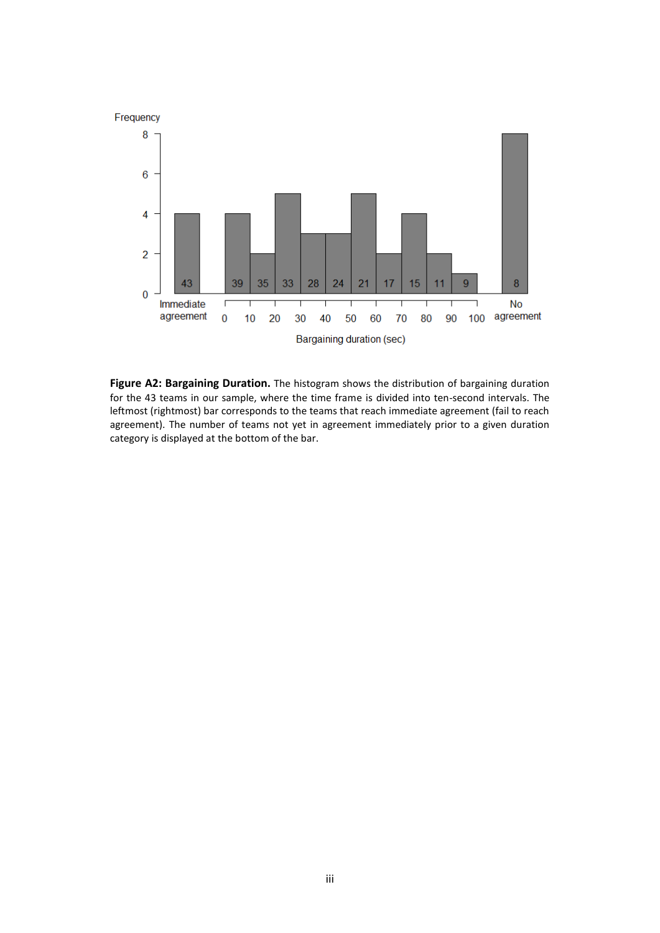

**Figure A2: Bargaining Duration.** The histogram shows the distribution of bargaining duration for the 43 teams in our sample, where the time frame is divided into ten-second intervals. The leftmost (rightmost) bar corresponds to the teams that reach immediate agreement (fail to reach agreement). The number of teams not yet in agreement immediately prior to a given duration category is displayed at the bottom of the bar.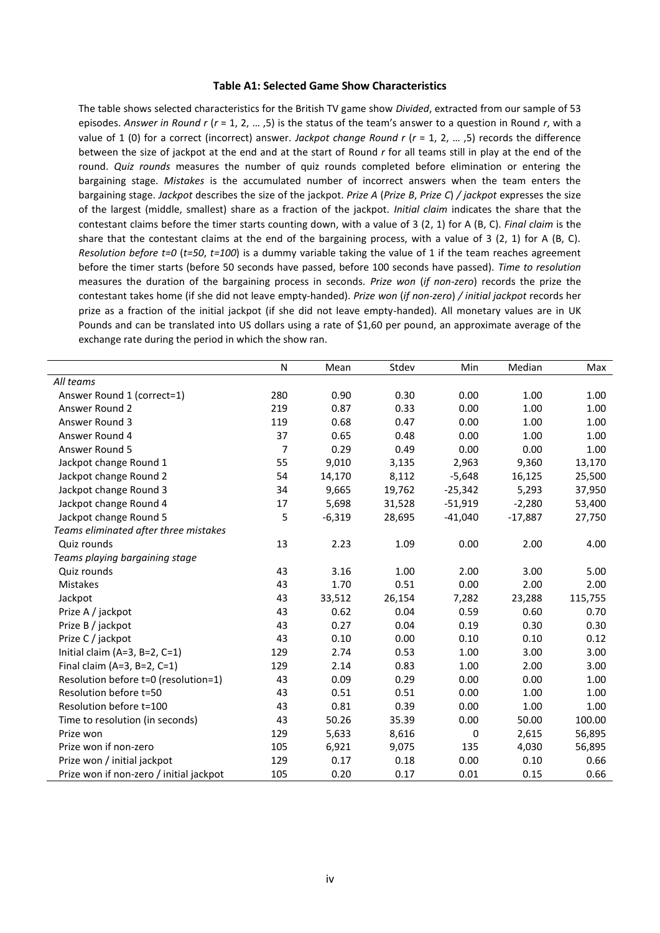#### **Table A1: Selected Game Show Characteristics**

The table shows selected characteristics for the British TV game show *Divided*, extracted from our sample of 53 episodes. *Answer in Round r* (*r* = 1, 2, … ,5) is the status of the team's answer to a question in Round *r*, with a value of 1 (0) for a correct (incorrect) answer. *Jackpot change Round r* (*r* = 1, 2, … ,5) records the difference between the size of jackpot at the end and at the start of Round *r* for all teams still in play at the end of the round. *Quiz rounds* measures the number of quiz rounds completed before elimination or entering the bargaining stage. *Mistakes* is the accumulated number of incorrect answers when the team enters the bargaining stage. *Jackpot* describes the size of the jackpot. *Prize A* (*Prize B*, *Prize C*) */ jackpot* expresses the size of the largest (middle, smallest) share as a fraction of the jackpot. *Initial claim* indicates the share that the contestant claims before the timer starts counting down, with a value of 3 (2, 1) for A (B, C). *Final claim* is the share that the contestant claims at the end of the bargaining process, with a value of 3 (2, 1) for A (B, C). *Resolution before t=0* (*t=50*, *t=100*) is a dummy variable taking the value of 1 if the team reaches agreement before the timer starts (before 50 seconds have passed, before 100 seconds have passed). *Time to resolution* measures the duration of the bargaining process in seconds. *Prize won* (*if non-zero*) records the prize the contestant takes home (if she did not leave empty-handed). *Prize won* (*if non-zero*) */ initial jackpot* records her prize as a fraction of the initial jackpot (if she did not leave empty-handed). All monetary values are in UK Pounds and can be translated into US dollars using a rate of \$1,60 per pound, an approximate average of the exchange rate during the period in which the show ran.

|                                         | N   | Mean     | Stdev  | Min       | Median    | Max     |
|-----------------------------------------|-----|----------|--------|-----------|-----------|---------|
| All teams                               |     |          |        |           |           |         |
| Answer Round 1 (correct=1)              | 280 | 0.90     | 0.30   | 0.00      | 1.00      | 1.00    |
| Answer Round 2                          | 219 | 0.87     | 0.33   | 0.00      | 1.00      | 1.00    |
| Answer Round 3                          | 119 | 0.68     | 0.47   | 0.00      | 1.00      | 1.00    |
| Answer Round 4                          | 37  | 0.65     | 0.48   | 0.00      | 1.00      | 1.00    |
| Answer Round 5                          | 7   | 0.29     | 0.49   | 0.00      | 0.00      | 1.00    |
| Jackpot change Round 1                  | 55  | 9,010    | 3,135  | 2,963     | 9,360     | 13,170  |
| Jackpot change Round 2                  | 54  | 14,170   | 8,112  | $-5,648$  | 16,125    | 25,500  |
| Jackpot change Round 3                  | 34  | 9,665    | 19,762 | $-25,342$ | 5,293     | 37,950  |
| Jackpot change Round 4                  | 17  | 5,698    | 31,528 | $-51,919$ | $-2,280$  | 53,400  |
| Jackpot change Round 5                  | 5   | $-6,319$ | 28,695 | $-41,040$ | $-17,887$ | 27,750  |
| Teams eliminated after three mistakes   |     |          |        |           |           |         |
| Quiz rounds                             | 13  | 2.23     | 1.09   | 0.00      | 2.00      | 4.00    |
| Teams playing bargaining stage          |     |          |        |           |           |         |
| Quiz rounds                             | 43  | 3.16     | 1.00   | 2.00      | 3.00      | 5.00    |
| <b>Mistakes</b>                         | 43  | 1.70     | 0.51   | 0.00      | 2.00      | 2.00    |
| Jackpot                                 | 43  | 33,512   | 26,154 | 7,282     | 23,288    | 115,755 |
| Prize A / jackpot                       | 43  | 0.62     | 0.04   | 0.59      | 0.60      | 0.70    |
| Prize B / jackpot                       | 43  | 0.27     | 0.04   | 0.19      | 0.30      | 0.30    |
| Prize C / jackpot                       | 43  | 0.10     | 0.00   | 0.10      | 0.10      | 0.12    |
| Initial claim (A=3, B=2, C=1)           | 129 | 2.74     | 0.53   | 1.00      | 3.00      | 3.00    |
| Final claim (A=3, B=2, C=1)             | 129 | 2.14     | 0.83   | 1.00      | 2.00      | 3.00    |
| Resolution before t=0 (resolution=1)    | 43  | 0.09     | 0.29   | 0.00      | 0.00      | 1.00    |
| Resolution before t=50                  | 43  | 0.51     | 0.51   | 0.00      | 1.00      | 1.00    |
| Resolution before t=100                 | 43  | 0.81     | 0.39   | 0.00      | 1.00      | 1.00    |
| Time to resolution (in seconds)         | 43  | 50.26    | 35.39  | 0.00      | 50.00     | 100.00  |
| Prize won                               | 129 | 5,633    | 8,616  | 0         | 2,615     | 56,895  |
| Prize won if non-zero                   | 105 | 6,921    | 9,075  | 135       | 4,030     | 56,895  |
| Prize won / initial jackpot             | 129 | 0.17     | 0.18   | 0.00      | 0.10      | 0.66    |
| Prize won if non-zero / initial jackpot | 105 | 0.20     | 0.17   | 0.01      | 0.15      | 0.66    |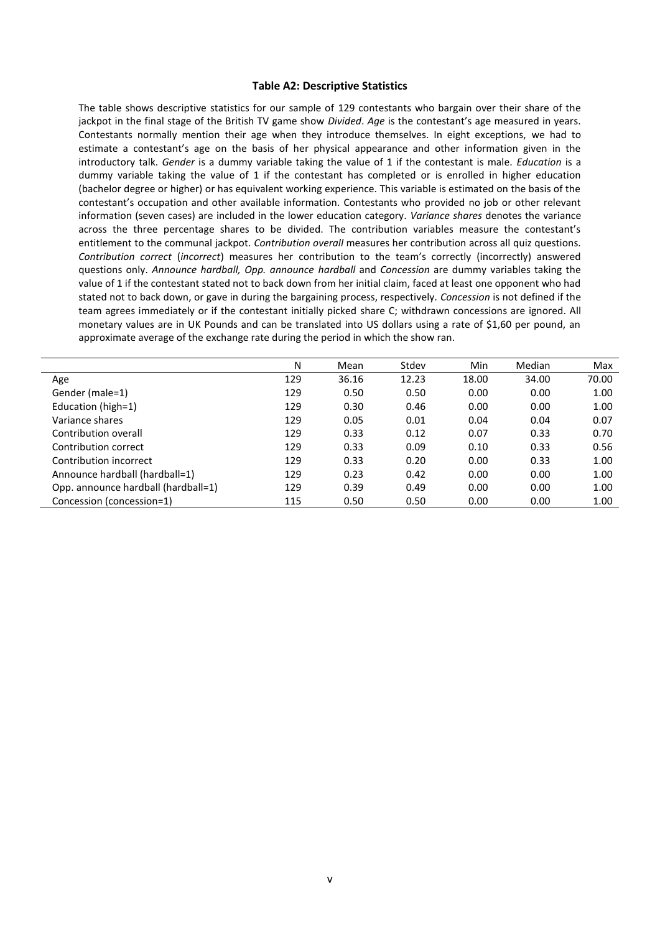#### **Table A2: Descriptive Statistics**

The table shows descriptive statistics for our sample of 129 contestants who bargain over their share of the jackpot in the final stage of the British TV game show *Divided*. *Age* is the contestant's age measured in years. Contestants normally mention their age when they introduce themselves. In eight exceptions, we had to estimate a contestant's age on the basis of her physical appearance and other information given in the introductory talk. *Gender* is a dummy variable taking the value of 1 if the contestant is male. *Education* is a dummy variable taking the value of 1 if the contestant has completed or is enrolled in higher education (bachelor degree or higher) or has equivalent working experience. This variable is estimated on the basis of the contestant's occupation and other available information. Contestants who provided no job or other relevant information (seven cases) are included in the lower education category. *Variance shares* denotes the variance across the three percentage shares to be divided. The contribution variables measure the contestant's entitlement to the communal jackpot. *Contribution overall* measures her contribution across all quiz questions. *Contribution correct* (*incorrect*) measures her contribution to the team's correctly (incorrectly) answered questions only. *Announce hardball, Opp. announce hardball* and *Concession* are dummy variables taking the value of 1 if the contestant stated not to back down from her initial claim, faced at least one opponent who had stated not to back down, or gave in during the bargaining process, respectively. *Concession* is not defined if the team agrees immediately or if the contestant initially picked share C; withdrawn concessions are ignored. All monetary values are in UK Pounds and can be translated into US dollars using a rate of \$1,60 per pound, an approximate average of the exchange rate during the period in which the show ran.

|                                     | N   | Mean  | Stdev | Min   | Median | Max   |
|-------------------------------------|-----|-------|-------|-------|--------|-------|
| Age                                 | 129 | 36.16 | 12.23 | 18.00 | 34.00  | 70.00 |
| Gender (male=1)                     | 129 | 0.50  | 0.50  | 0.00  | 0.00   | 1.00  |
| Education (high=1)                  | 129 | 0.30  | 0.46  | 0.00  | 0.00   | 1.00  |
| Variance shares                     | 129 | 0.05  | 0.01  | 0.04  | 0.04   | 0.07  |
| Contribution overall                | 129 | 0.33  | 0.12  | 0.07  | 0.33   | 0.70  |
| Contribution correct                | 129 | 0.33  | 0.09  | 0.10  | 0.33   | 0.56  |
| Contribution incorrect              | 129 | 0.33  | 0.20  | 0.00  | 0.33   | 1.00  |
| Announce hardball (hardball=1)      | 129 | 0.23  | 0.42  | 0.00  | 0.00   | 1.00  |
| Opp. announce hardball (hardball=1) | 129 | 0.39  | 0.49  | 0.00  | 0.00   | 1.00  |
| Concession (concession=1)           | 115 | 0.50  | 0.50  | 0.00  | 0.00   | 1.00  |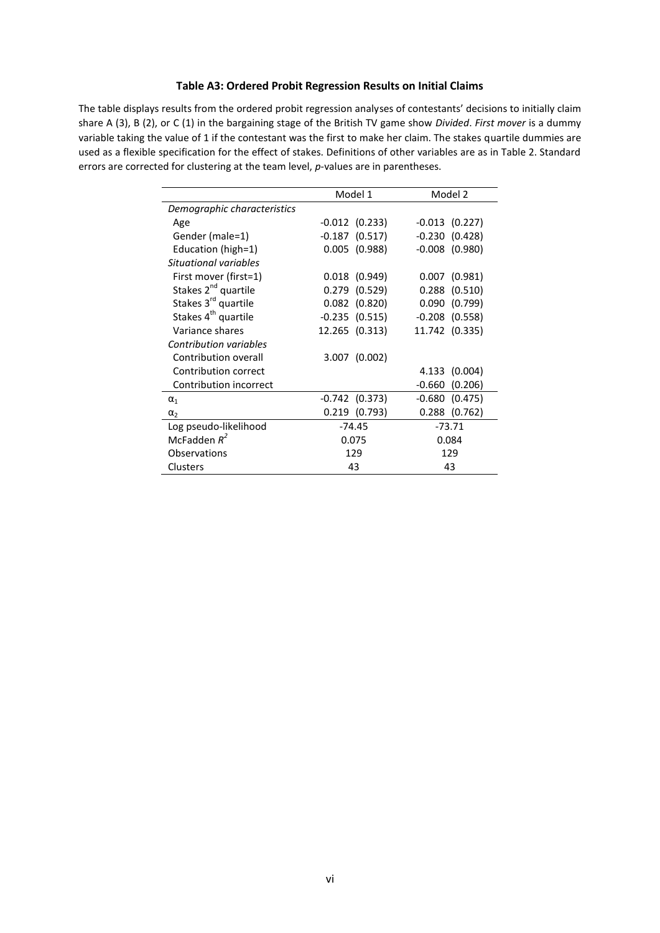## **Table A3: Ordered Probit Regression Results on Initial Claims**

The table displays results from the ordered probit regression analyses of contestants' decisions to initially claim share A (3), B (2), or C (1) in the bargaining stage of the British TV game show *Divided*. *First mover* is a dummy variable taking the value of 1 if the contestant was the first to make her claim. The stakes quartile dummies are used as a flexible specification for the effect of stakes. Definitions of other variables are as in Table 2. Standard errors are corrected for clustering at the team level, *p*-values are in parentheses.

|                                 | Model 1            | Model 2             |  |
|---------------------------------|--------------------|---------------------|--|
| Demographic characteristics     |                    |                     |  |
| Age                             | $-0.012$ $(0.233)$ | $-0.013$ $(0.227)$  |  |
| Gender (male=1)                 | $-0.187$ (0.517)   | $-0.230(0.428)$     |  |
| Education (high=1)              | $0.005$ (0.988)    | $-0.008$ $(0.980)$  |  |
| Situational variables           |                    |                     |  |
| First mover (first=1)           | $0.018$ (0.949)    | $0.007$ $(0.981)$   |  |
| Stakes 2 <sup>nd</sup> quartile | $0.279$ $(0.529)$  | $0.288$ $(0.510)$   |  |
| Stakes 3 <sup>rd</sup> quartile | $0.082$ $(0.820)$  | 0.090(0.799)        |  |
| Stakes 4 <sup>th</sup> quartile | $-0.235(0.515)$    | $-0.208$ $(0.558)$  |  |
| Variance shares                 | 12.265 (0.313)     | 11.742 (0.335)      |  |
| Contribution variables          |                    |                     |  |
| Contribution overall            | $3.007$ (0.002)    |                     |  |
| Contribution correct            |                    | 4.133 (0.004)       |  |
| Contribution incorrect          |                    | $-0.660$<br>(0.206) |  |
| $\alpha_1$                      | $-0.742$ $(0.373)$ | $-0.680(0.475)$     |  |
| $\alpha_{2}$                    | $0.219$ $(0.793)$  | $0.288$ (0.762)     |  |
| Log pseudo-likelihood           | $-74.45$           | $-73.71$            |  |
| McFadden $R^2$                  | 0.075              | 0.084               |  |
| <b>Observations</b>             | 129                | 129                 |  |
| <b>Clusters</b>                 | 43                 | 43                  |  |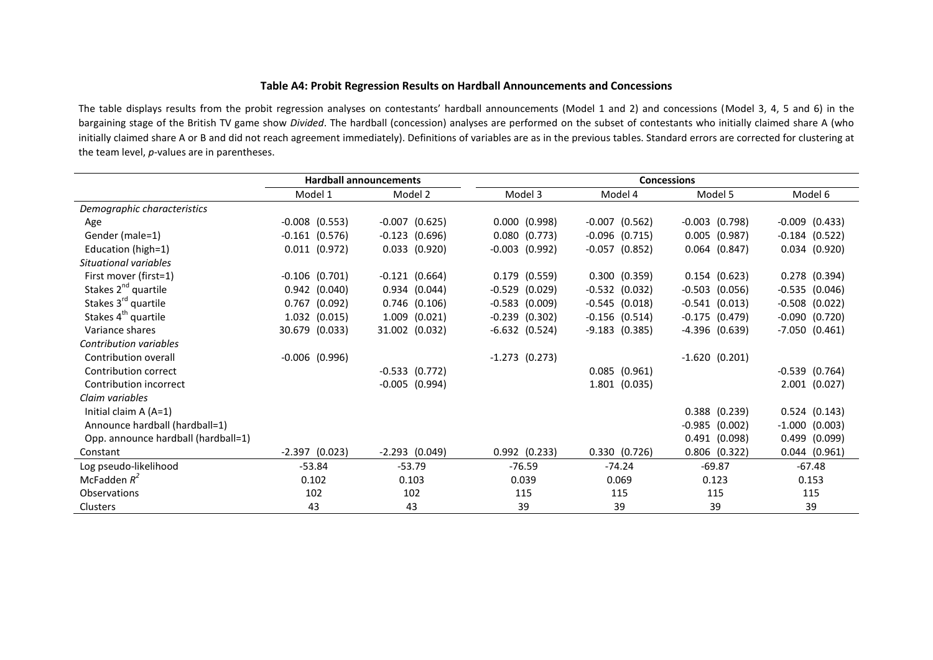## **Table A4: Probit Regression Results on Hardball Announcements and Concessions**

The table displays results from the probit regression analyses on contestants' hardball announcements (Model 1 and 2) and concessions (Model 3, 4, 5 and 6) in the bargaining stage of the British TV game show *Divided*. The hardball (concession) analyses are performed on the subset of contestants who initially claimed share A (who initially claimed share A or B and did not reach agreement immediately). Definitions of variables are as in the previous tables. Standard errors are corrected for clustering at the team level, *p*-values are in parentheses.

|                                     |                    | <b>Hardball announcements</b> | <b>Concessions</b> |                    |                    |                    |
|-------------------------------------|--------------------|-------------------------------|--------------------|--------------------|--------------------|--------------------|
|                                     | Model 1            | Model 2                       | Model 3            | Model 4            | Model 5            | Model 6            |
| Demographic characteristics         |                    |                               |                    |                    |                    |                    |
| Age                                 | $-0.008$ $(0.553)$ | $-0.007$ $(0.625)$            | $0.000$ $(0.998)$  | $-0.007$ $(0.562)$ | $-0.003$ $(0.798)$ | $-0.009$ $(0.433)$ |
| Gender (male=1)                     | $-0.161(0.576)$    | $-0.123$ $(0.696)$            | 0.080(0.773)       | $-0.096$ $(0.715)$ | $0.005$ (0.987)    | $-0.184$ $(0.522)$ |
| Education (high=1)                  | $0.011$ $(0.972)$  | $0.033$ $(0.920)$             | $-0.003$ $(0.992)$ | $-0.057$ $(0.852)$ | $0.064$ $(0.847)$  | $0.034$ $(0.920)$  |
| Situational variables               |                    |                               |                    |                    |                    |                    |
| First mover (first=1)               | $-0.106$ $(0.701)$ | $-0.121(0.664)$               | $0.179$ $(0.559)$  | 0.300(0.359)       | $0.154$ $(0.623)$  | $0.278$ $(0.394)$  |
| Stakes 2 <sup>nd</sup> quartile     | $0.942$ (0.040)    | 0.934(0.044)                  | $-0.529$ $(0.029)$ | $-0.532$ $(0.032)$ | $-0.503$ $(0.056)$ | $-0.535(0.046)$    |
| Stakes 3 <sup>rd</sup> quartile     | (0.092)<br>0.767   | $0.746$ (0.106)               | $-0.583$ $(0.009)$ | $-0.545$ $(0.018)$ | $-0.541$ (0.013)   | $-0.508$ $(0.022)$ |
| Stakes 4 <sup>th</sup> quartile     | 1.032 (0.015)      | $1.009$ $(0.021)$             | $-0.239$ $(0.302)$ | $-0.156$ $(0.514)$ | $-0.175$ $(0.479)$ | $-0.090$ $(0.720)$ |
| Variance shares                     | 30.679 (0.033)     | 31.002 (0.032)                | $-6.632(0.524)$    | $-9.183$ (0.385)   | $-4.396$ (0.639)   | $-7.050$ $(0.461)$ |
| Contribution variables              |                    |                               |                    |                    |                    |                    |
| Contribution overall                | $-0.006$ $(0.996)$ |                               | $-1.273$ (0.273)   |                    | $-1.620(0.201)$    |                    |
| Contribution correct                |                    | $-0.533$ $(0.772)$            |                    | $0.085$ $(0.961)$  |                    | $-0.539$ $(0.764)$ |
| Contribution incorrect              |                    | $-0.005$ $(0.994)$            |                    | 1.801 (0.035)      |                    | $2.001$ $(0.027)$  |
| Claim variables                     |                    |                               |                    |                    |                    |                    |
| Initial claim $A(A=1)$              |                    |                               |                    |                    | $0.388$ $(0.239)$  | 0.524(0.143)       |
| Announce hardball (hardball=1)      |                    |                               |                    |                    | $-0.985$ (0.002)   | $-1.000$ $(0.003)$ |
| Opp. announce hardball (hardball=1) |                    |                               |                    |                    | 0.491(0.098)       | $0.499$ $(0.099)$  |
| Constant                            | $-2.397$ (0.023)   | $-2.293$ (0.049)              | $0.992$ $(0.233)$  | 0.330(0.726)       | $0.806$ $(0.322)$  | $0.044$ $(0.961)$  |
| Log pseudo-likelihood               | $-53.84$           | $-53.79$                      | $-76.59$           | $-74.24$           | $-69.87$           | $-67.48$           |
| McFadden $R^2$                      | 0.102              | 0.103                         | 0.039              | 0.069              | 0.123              | 0.153              |
| Observations                        | 102                | 102                           | 115                | 115                | 115                | 115                |
| <b>Clusters</b>                     | 43                 | 43                            | 39                 | 39                 | 39                 | 39                 |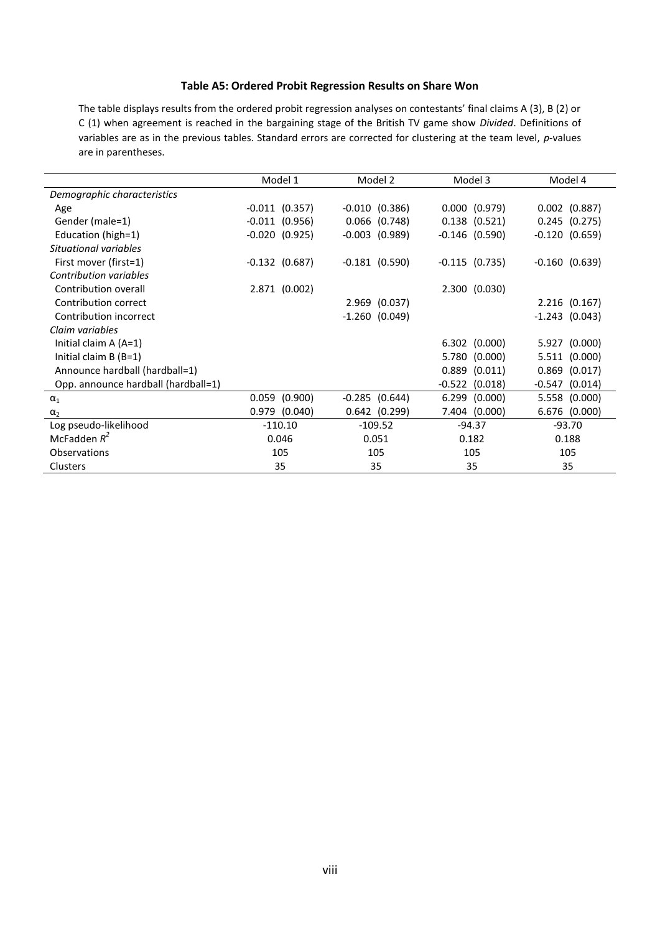## **Table A5: Ordered Probit Regression Results on Share Won**

The table displays results from the ordered probit regression analyses on contestants' final claims A (3), B (2) or C (1) when agreement is reached in the bargaining stage of the British TV game show *Divided*. Definitions of variables are as in the previous tables. Standard errors are corrected for clustering at the team level, *p*-values are in parentheses.

|                                     | Model 1            | Model 2            | Model 3            | Model 4             |
|-------------------------------------|--------------------|--------------------|--------------------|---------------------|
| Demographic characteristics         |                    |                    |                    |                     |
| Age                                 | $-0.011$ $(0.357)$ | $-0.010$ $(0.386)$ | $0.000$ $(0.979)$  | $0.002$ $(0.887)$   |
| Gender (male=1)                     | $-0.011$ $(0.956)$ | $0.066$ $(0.748)$  | $0.138$ $(0.521)$  | $0.245$ $(0.275)$   |
| Education (high=1)                  | $-0.020$ $(0.925)$ | $-0.003$ $(0.989)$ | $-0.146$ (0.590)   | $-0.120$ $(0.659)$  |
| Situational variables               |                    |                    |                    |                     |
| First mover (first=1)               | $-0.132$ $(0.687)$ | $-0.181(0.590)$    | $-0.115$ $(0.735)$ | $-0.160(0.639)$     |
| Contribution variables              |                    |                    |                    |                     |
| Contribution overall                | 2.871 (0.002)      |                    | 2.300(0.030)       |                     |
| Contribution correct                |                    | 2.969 (0.037)      |                    | $2.216$ (0.167)     |
| Contribution incorrect              |                    | $-1.260(0.049)$    |                    | $-1.243$ (0.043)    |
| Claim variables                     |                    |                    |                    |                     |
| Initial claim $A(A=1)$              |                    |                    | $6.302$ $(0.000)$  | 5.927 (0.000)       |
| Initial claim $B(B=1)$              |                    |                    | 5.780 (0.000)      | 5.511 (0.000)       |
| Announce hardball (hardball=1)      |                    |                    | $0.889$ $(0.011)$  | (0.017)<br>0.869    |
| Opp. announce hardball (hardball=1) |                    |                    | $-0.522$ $(0.018)$ | (0.014)<br>$-0.547$ |
| $\alpha_1$                          | $0.059$ $(0.900)$  | $-0.285$ $(0.644)$ | 6.299 (0.000)      | 5.558 (0.000)       |
| $\alpha_2$                          | $0.979$ $(0.040)$  | $0.642$ $(0.299)$  | 7.404 (0.000)      | 6.676<br>(0.000)    |
| Log pseudo-likelihood               | $-110.10$          | $-109.52$          | $-94.37$           | $-93.70$            |
| McFadden $R^2$                      | 0.046              | 0.051              | 0.182              | 0.188               |
| <b>Observations</b>                 | 105                | 105                | 105                | 105                 |
| Clusters                            | 35                 | 35                 | 35                 | 35                  |